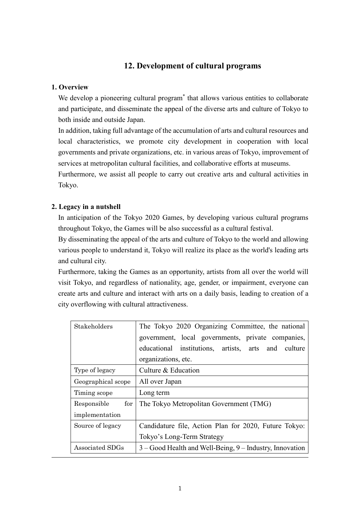## **12. Development of cultural programs**

#### **1. Overview**

We develop a pioneering cultural program<sup>\*</sup> that allows various entities to collaborate and participate, and disseminate the appeal of the diverse arts and culture of Tokyo to both inside and outside Japan.

In addition, taking full advantage of the accumulation of arts and cultural resources and local characteristics, we promote city development in cooperation with local governments and private organizations, etc. in various areas of Tokyo, improvement of services at metropolitan cultural facilities, and collaborative efforts at museums.

Furthermore, we assist all people to carry out creative arts and cultural activities in Tokyo.

## **2. Legacy in a nutshell**

In anticipation of the Tokyo 2020 Games, by developing various cultural programs throughout Tokyo, the Games will be also successful as a cultural festival.

By disseminating the appeal of the arts and culture of Tokyo to the world and allowing various people to understand it, Tokyo will realize its place as the world's leading arts and cultural city.

Furthermore, taking the Games as an opportunity, artists from all over the world will visit Tokyo, and regardless of nationality, age, gender, or impairment, everyone can create arts and culture and interact with arts on a daily basis, leading to creation of a city overflowing with cultural attractiveness.

| Stakeholders       | The Tokyo 2020 Organizing Committee, the national         |
|--------------------|-----------------------------------------------------------|
|                    | government, local governments, private companies,         |
|                    | educational institutions, artists, arts<br>culture<br>and |
|                    | organizations, etc.                                       |
| Type of legacy     | Culture & Education                                       |
| Geographical scope | All over Japan                                            |
| Timing scope       | Long term                                                 |
| for<br>Responsible | The Tokyo Metropolitan Government (TMG)                   |
| implementation     |                                                           |
| Source of legacy   | Candidature file, Action Plan for 2020, Future Tokyo:     |
|                    | Tokyo's Long-Term Strategy                                |
| Associated SDGs    | 3 - Good Health and Well-Being, 9 - Industry, Innovation  |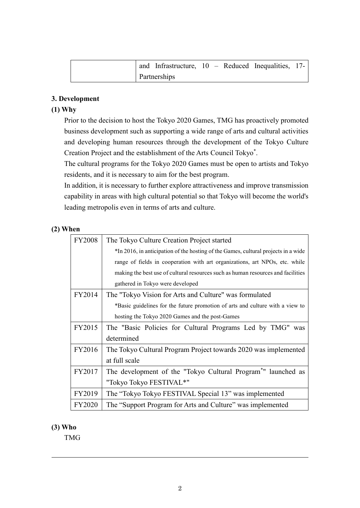|  | and Infrastructure, $10$ – Reduced Inequalities, 17- |  |  |  |
|--|------------------------------------------------------|--|--|--|
|  | Partnerships                                         |  |  |  |

## **3. Development**

### **(1) Why**

Prior to the decision to host the Tokyo 2020 Games, TMG has proactively promoted business development such as supporting a wide range of arts and cultural activities and developing human resources through the development of the Tokyo Culture Creation Project and the establishment of the Arts Council Tokyo\* .

The cultural programs for the Tokyo 2020 Games must be open to artists and Tokyo residents, and it is necessary to aim for the best program.

In addition, it is necessary to further explore attractiveness and improve transmission capability in areas with high cultural potential so that Tokyo will become the world's leading metropolis even in terms of arts and culture.

## **(2) When**

| <b>FY2008</b> | The Tokyo Culture Creation Project started                                         |
|---------------|------------------------------------------------------------------------------------|
|               | *In 2016, in anticipation of the hosting of the Games, cultural projects in a wide |
|               | range of fields in cooperation with art organizations, art NPOs, etc. while        |
|               | making the best use of cultural resources such as human resources and facilities   |
|               | gathered in Tokyo were developed                                                   |
| FY2014        | The "Tokyo Vision for Arts and Culture" was formulated                             |
|               | *Basic guidelines for the future promotion of arts and culture with a view to      |
|               | hosting the Tokyo 2020 Games and the post-Games                                    |
| FY2015        | The "Basic Policies for Cultural Programs Led by TMG" was                          |
|               | determined                                                                         |
| FY2016        | The Tokyo Cultural Program Project towards 2020 was implemented                    |
|               | at full scale                                                                      |
| FY2017        | The development of the "Tokyo Cultural Program <sup>*</sup> " launched as          |
|               | "Tokyo Tokyo FESTIVAL*"                                                            |
| FY2019        | The "Tokyo Tokyo FESTIVAL Special 13" was implemented                              |
| <b>FY2020</b> | The "Support Program for Arts and Culture" was implemented                         |

### **(3) Who**

TMG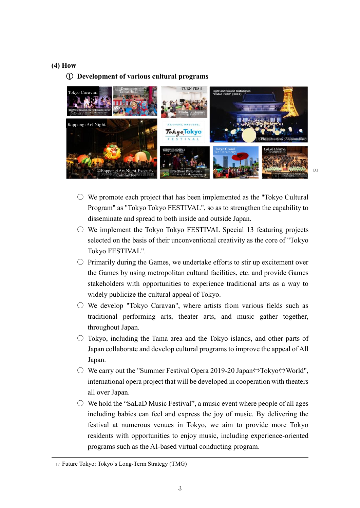#### **(4) How**

#### ① **Development of various cultural programs**



- $\circ$  We promote each project that has been implemented as the "Tokyo Cultural" Program" as "Tokyo Tokyo FESTIVAL", so as to strengthen the capability to disseminate and spread to both inside and outside Japan.
- $\circ$  We implement the Tokyo Tokyo FESTIVAL Special 13 featuring projects selected on the basis of their unconventional creativity as the core of "Tokyo Tokyo FESTIVAL".
- $\circ$  Primarily during the Games, we undertake efforts to stir up excitement over the Games by using metropolitan cultural facilities, etc. and provide Games stakeholders with opportunities to experience traditional arts as a way to widely publicize the cultural appeal of Tokyo.
- $\circ$  We develop "Tokyo Caravan", where artists from various fields such as traditional performing arts, theater arts, and music gather together, throughout Japan.
- $\circ$  Tokyo, including the Tama area and the Tokyo islands, and other parts of Japan collaborate and develop cultural programs to improve the appeal of All Japan.
- We carry out the "Summer Festival Opera 2019-20 Japan⇔Tokyo⇔World", international opera project that will be developed in cooperation with theaters all over Japan.
- $\circ$  We hold the "SaLaD Music Festival", a music event where people of all ages including babies can feel and express the joy of music. By delivering the festival at numerous venues in Tokyo, we aim to provide more Tokyo residents with opportunities to enjoy music, including experience-oriented programs such as the AI-based virtual conducting program.

<sup>[1]</sup> Future Tokyo: Tokyo's Long-Term Strategy (TMG)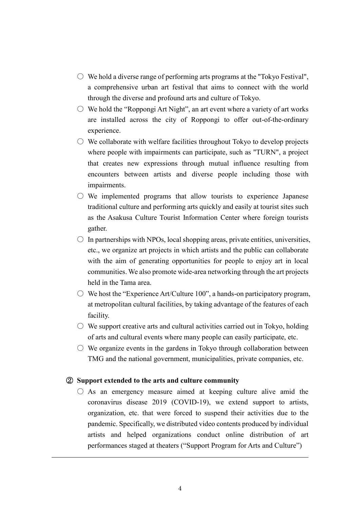- $\circ$  We hold a diverse range of performing arts programs at the "Tokyo Festival", a comprehensive urban art festival that aims to connect with the world through the diverse and profound arts and culture of Tokyo.
- $\circ$  We hold the "Roppongi Art Night", an art event where a variety of art works are installed across the city of Roppongi to offer out-of-the-ordinary experience.
- $\circ$  We collaborate with welfare facilities throughout Tokyo to develop projects where people with impairments can participate, such as "TURN", a project that creates new expressions through mutual influence resulting from encounters between artists and diverse people including those with impairments.
- $\circ$  We implemented programs that allow tourists to experience Japanese traditional culture and performing arts quickly and easily at tourist sites such as the Asakusa Culture Tourist Information Center where foreign tourists gather.
- $\circ$  In partnerships with NPOs, local shopping areas, private entities, universities, etc., we organize art projects in which artists and the public can collaborate with the aim of generating opportunities for people to enjoy art in local communities. We also promote wide-area networking through the art projects held in the Tama area.
- $\bigcirc$  We host the "Experience Art/Culture 100", a hands-on participatory program, at metropolitan cultural facilities, by taking advantage of the features of each facility.
- $\circlearrowright$  We support creative arts and cultural activities carried out in Tokyo, holding of arts and cultural events where many people can easily participate, etc.
- $\circ$  We organize events in the gardens in Tokyo through collaboration between TMG and the national government, municipalities, private companies, etc.

#### ② **Support extended to the arts and culture community**

 $\circ$  As an emergency measure aimed at keeping culture alive amid the coronavirus disease 2019 (COVID-19), we extend support to artists, organization, etc. that were forced to suspend their activities due to the pandemic. Specifically, we distributed video contents produced by individual artists and helped organizations conduct online distribution of art performances staged at theaters ("Support Program for Arts and Culture")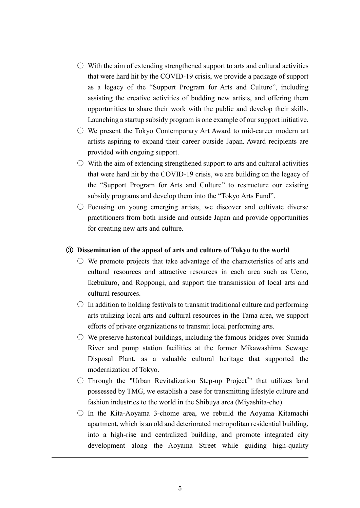- $\circlearrowright$  With the aim of extending strengthened support to arts and cultural activities that were hard hit by the COVID-19 crisis, we provide a package of support as a legacy of the "Support Program for Arts and Culture", including assisting the creative activities of budding new artists, and offering them opportunities to share their work with the public and develop their skills. Launching a startup subsidy program is one example of our support initiative.
- $\circ$  We present the Tokyo Contemporary Art Award to mid-career modern art artists aspiring to expand their career outside Japan. Award recipients are provided with ongoing support.
- $\circ$  With the aim of extending strengthened support to arts and cultural activities that were hard hit by the COVID-19 crisis, we are building on the legacy of the "Support Program for Arts and Culture" to restructure our existing subsidy programs and develop them into the "Tokyo Arts Fund".
- $\circ$  Focusing on young emerging artists, we discover and cultivate diverse practitioners from both inside and outside Japan and provide opportunities for creating new arts and culture.

#### ③ **Dissemination of the appeal of arts and culture of Tokyo to the world**

- $\circ$  We promote projects that take advantage of the characteristics of arts and cultural resources and attractive resources in each area such as Ueno, Ikebukuro, and Roppongi, and support the transmission of local arts and cultural resources.
- $\circ$  In addition to holding festivals to transmit traditional culture and performing arts utilizing local arts and cultural resources in the Tama area, we support efforts of private organizations to transmit local performing arts.
- $\circlearrowright$  We preserve historical buildings, including the famous bridges over Sumida River and pump station facilities at the former Mikawashima Sewage Disposal Plant, as a valuable cultural heritage that supported the modernization of Tokyo.
- Through the "Urban Revitalization Step-up Project\* " that utilizes land possessed by TMG, we establish a base for transmitting lifestyle culture and fashion industries to the world in the Shibuya area (Miyashita-cho).
- $\circ$  In the Kita-Aoyama 3-chome area, we rebuild the Aoyama Kitamachi apartment, which is an old and deteriorated metropolitan residential building, into a high-rise and centralized building, and promote integrated city development along the Aoyama Street while guiding high-quality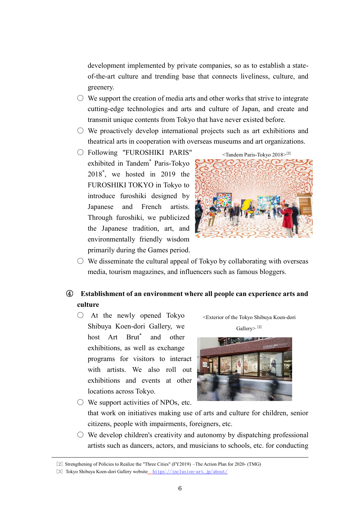development implemented by private companies, so as to establish a stateof-the-art culture and trending base that connects liveliness, culture, and greenery.

- $\circlearrowright$  We support the creation of media arts and other works that strive to integrate cutting-edge technologies and arts and culture of Japan, and create and transmit unique contents from Tokyo that have never existed before.
- We proactively develop international projects such as art exhibitions and theatrical arts in cooperation with overseas museums and art organizations.
- Following "FUROSHIKI PARIS" exhibited in Tandem\* Paris-Tokyo 2018\* , we hosted in 2019 the FUROSHIKI TOKYO in Tokyo to introduce furoshiki designed by Japanese and French artists. Through furoshiki, we publicized the Japanese tradition, art, and environmentally friendly wisdom primarily during the Games period.





 $\circ$  We disseminate the cultural appeal of Tokyo by collaborating with overseas media, tourism magazines, and influencers such as famous bloggers.

# ④ **Establishment of an environment where all people can experience arts and culture**

○ At the newly opened Tokyo Shibuya Koen-dori Gallery, we host Art Brut\* and other exhibitions, as well as exchange programs for visitors to interact with artists. We also roll out exhibitions and events at other locations across Tokyo.





 $\circlearrowright$  We support activities of NPOs, etc. that work on initiatives making use of arts and culture for children, senior citizens, people with impairments, foreigners, etc.

 $\circ$  We develop children's creativity and autonomy by dispatching professional artists such as dancers, actors, and musicians to schools, etc. for conducting

<sup>[2]</sup> Strengthening of Policies to Realize the "Three Cities" (FY2019) –The Action Plan for 2020- (TMG)

<sup>[3]</sup> Tokyo Shibuya Koen-dori Gallery website <https://inclusion-art.jp/about/>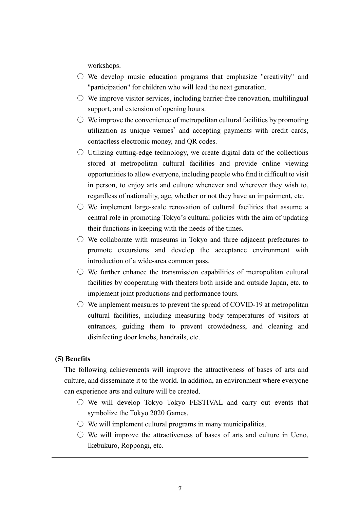workshops.

- $\circ$  We develop music education programs that emphasize "creativity" and "participation" for children who will lead the next generation.
- $\circlearrowright$  We improve visitor services, including barrier-free renovation, multilingual support, and extension of opening hours.
- $\circlearrowright$  We improve the convenience of metropolitan cultural facilities by promoting utilization as unique venues\* and accepting payments with credit cards, contactless electronic money, and QR codes.
- $\circ$  Utilizing cutting-edge technology, we create digital data of the collections stored at metropolitan cultural facilities and provide online viewing opportunities to allow everyone, including people who find it difficult to visit in person, to enjoy arts and culture whenever and wherever they wish to, regardless of nationality, age, whether or not they have an impairment, etc.
- $\circlearrowright$  We implement large-scale renovation of cultural facilities that assume a central role in promoting Tokyo's cultural policies with the aim of updating their functions in keeping with the needs of the times.
- $\circ$  We collaborate with museums in Tokyo and three adjacent prefectures to promote excursions and develop the acceptance environment with introduction of a wide-area common pass.
- $\circlearrowright$  We further enhance the transmission capabilities of metropolitan cultural facilities by cooperating with theaters both inside and outside Japan, etc. to implement joint productions and performance tours.
- $\circ$  We implement measures to prevent the spread of COVID-19 at metropolitan cultural facilities, including measuring body temperatures of visitors at entrances, guiding them to prevent crowdedness, and cleaning and disinfecting door knobs, handrails, etc.

#### **(5) Benefits**

The following achievements will improve the attractiveness of bases of arts and culture, and disseminate it to the world. In addition, an environment where everyone can experience arts and culture will be created.

- $\circ$  We will develop Tokyo Tokyo FESTIVAL and carry out events that symbolize the Tokyo 2020 Games.
- $\circ$  We will implement cultural programs in many municipalities.
- $\circ$  We will improve the attractiveness of bases of arts and culture in Ueno, Ikebukuro, Roppongi, etc.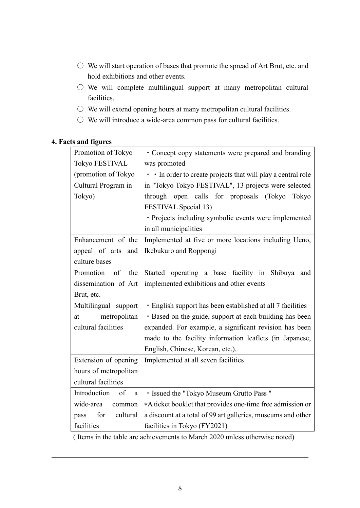- We will start operation of bases that promote the spread of Art Brut, etc. and hold exhibitions and other events.
- $\bigcirc$  We will complete multilingual support at many metropolitan cultural facilities.
- We will extend opening hours at many metropolitan cultural facilities.
- $\circ$  We will introduce a wide-area common pass for cultural facilities.

| Promotion of Tokyo<br>• Concept copy statements were prepared and branding<br><b>Tokyo FESTIVAL</b><br>was promoted<br>• In order to create projects that will play a central role<br>(promotion of Tokyo<br>in "Tokyo Tokyo FESTIVAL", 13 projects were selected<br>Cultural Program in<br>through open calls for proposals (Tokyo<br>Tokyo)<br>Tokyo<br>FESTIVAL Special 13)<br>• Projects including symbolic events were implemented<br>in all municipalities<br>Implemented at five or more locations including Ueno,<br>Enhancement of the<br>appeal of arts and<br>Ikebukuro and Roppongi<br>culture bases<br>Started operating a base facility in Shibuya<br>Promotion<br>of<br>the<br>and<br>dissemination of Art<br>implemented exhibitions and other events<br>Brut, etc.<br>· English support has been established at all 7 facilities<br>Multilingual support<br>• Based on the guide, support at each building has been<br>metropolitan<br>at<br>cultural facilities<br>expanded. For example, a significant revision has been<br>made to the facility information leaflets (in Japanese,<br>English, Chinese, Korean, etc.).<br>Extension of opening<br>Implemented at all seven facilities<br>hours of metropolitan<br>cultural facilities<br>Introduction<br>· Issued the "Tokyo Museum Grutto Pass"<br>of<br>a<br>*A ticket booklet that provides one-time free admission or<br>wide-area<br>common<br>a discount at a total of 99 art galleries, museums and other<br>for<br>cultural<br>pass<br>facilities<br>facilities in Tokyo (FY2021) |  |
|---------------------------------------------------------------------------------------------------------------------------------------------------------------------------------------------------------------------------------------------------------------------------------------------------------------------------------------------------------------------------------------------------------------------------------------------------------------------------------------------------------------------------------------------------------------------------------------------------------------------------------------------------------------------------------------------------------------------------------------------------------------------------------------------------------------------------------------------------------------------------------------------------------------------------------------------------------------------------------------------------------------------------------------------------------------------------------------------------------------------------------------------------------------------------------------------------------------------------------------------------------------------------------------------------------------------------------------------------------------------------------------------------------------------------------------------------------------------------------------------------------------------------------------------------------------|--|
|                                                                                                                                                                                                                                                                                                                                                                                                                                                                                                                                                                                                                                                                                                                                                                                                                                                                                                                                                                                                                                                                                                                                                                                                                                                                                                                                                                                                                                                                                                                                                               |  |
|                                                                                                                                                                                                                                                                                                                                                                                                                                                                                                                                                                                                                                                                                                                                                                                                                                                                                                                                                                                                                                                                                                                                                                                                                                                                                                                                                                                                                                                                                                                                                               |  |
|                                                                                                                                                                                                                                                                                                                                                                                                                                                                                                                                                                                                                                                                                                                                                                                                                                                                                                                                                                                                                                                                                                                                                                                                                                                                                                                                                                                                                                                                                                                                                               |  |
|                                                                                                                                                                                                                                                                                                                                                                                                                                                                                                                                                                                                                                                                                                                                                                                                                                                                                                                                                                                                                                                                                                                                                                                                                                                                                                                                                                                                                                                                                                                                                               |  |
|                                                                                                                                                                                                                                                                                                                                                                                                                                                                                                                                                                                                                                                                                                                                                                                                                                                                                                                                                                                                                                                                                                                                                                                                                                                                                                                                                                                                                                                                                                                                                               |  |
|                                                                                                                                                                                                                                                                                                                                                                                                                                                                                                                                                                                                                                                                                                                                                                                                                                                                                                                                                                                                                                                                                                                                                                                                                                                                                                                                                                                                                                                                                                                                                               |  |
|                                                                                                                                                                                                                                                                                                                                                                                                                                                                                                                                                                                                                                                                                                                                                                                                                                                                                                                                                                                                                                                                                                                                                                                                                                                                                                                                                                                                                                                                                                                                                               |  |
|                                                                                                                                                                                                                                                                                                                                                                                                                                                                                                                                                                                                                                                                                                                                                                                                                                                                                                                                                                                                                                                                                                                                                                                                                                                                                                                                                                                                                                                                                                                                                               |  |
|                                                                                                                                                                                                                                                                                                                                                                                                                                                                                                                                                                                                                                                                                                                                                                                                                                                                                                                                                                                                                                                                                                                                                                                                                                                                                                                                                                                                                                                                                                                                                               |  |
|                                                                                                                                                                                                                                                                                                                                                                                                                                                                                                                                                                                                                                                                                                                                                                                                                                                                                                                                                                                                                                                                                                                                                                                                                                                                                                                                                                                                                                                                                                                                                               |  |
|                                                                                                                                                                                                                                                                                                                                                                                                                                                                                                                                                                                                                                                                                                                                                                                                                                                                                                                                                                                                                                                                                                                                                                                                                                                                                                                                                                                                                                                                                                                                                               |  |
|                                                                                                                                                                                                                                                                                                                                                                                                                                                                                                                                                                                                                                                                                                                                                                                                                                                                                                                                                                                                                                                                                                                                                                                                                                                                                                                                                                                                                                                                                                                                                               |  |
|                                                                                                                                                                                                                                                                                                                                                                                                                                                                                                                                                                                                                                                                                                                                                                                                                                                                                                                                                                                                                                                                                                                                                                                                                                                                                                                                                                                                                                                                                                                                                               |  |
|                                                                                                                                                                                                                                                                                                                                                                                                                                                                                                                                                                                                                                                                                                                                                                                                                                                                                                                                                                                                                                                                                                                                                                                                                                                                                                                                                                                                                                                                                                                                                               |  |
|                                                                                                                                                                                                                                                                                                                                                                                                                                                                                                                                                                                                                                                                                                                                                                                                                                                                                                                                                                                                                                                                                                                                                                                                                                                                                                                                                                                                                                                                                                                                                               |  |
|                                                                                                                                                                                                                                                                                                                                                                                                                                                                                                                                                                                                                                                                                                                                                                                                                                                                                                                                                                                                                                                                                                                                                                                                                                                                                                                                                                                                                                                                                                                                                               |  |
|                                                                                                                                                                                                                                                                                                                                                                                                                                                                                                                                                                                                                                                                                                                                                                                                                                                                                                                                                                                                                                                                                                                                                                                                                                                                                                                                                                                                                                                                                                                                                               |  |
|                                                                                                                                                                                                                                                                                                                                                                                                                                                                                                                                                                                                                                                                                                                                                                                                                                                                                                                                                                                                                                                                                                                                                                                                                                                                                                                                                                                                                                                                                                                                                               |  |
|                                                                                                                                                                                                                                                                                                                                                                                                                                                                                                                                                                                                                                                                                                                                                                                                                                                                                                                                                                                                                                                                                                                                                                                                                                                                                                                                                                                                                                                                                                                                                               |  |
|                                                                                                                                                                                                                                                                                                                                                                                                                                                                                                                                                                                                                                                                                                                                                                                                                                                                                                                                                                                                                                                                                                                                                                                                                                                                                                                                                                                                                                                                                                                                                               |  |
|                                                                                                                                                                                                                                                                                                                                                                                                                                                                                                                                                                                                                                                                                                                                                                                                                                                                                                                                                                                                                                                                                                                                                                                                                                                                                                                                                                                                                                                                                                                                                               |  |
|                                                                                                                                                                                                                                                                                                                                                                                                                                                                                                                                                                                                                                                                                                                                                                                                                                                                                                                                                                                                                                                                                                                                                                                                                                                                                                                                                                                                                                                                                                                                                               |  |
|                                                                                                                                                                                                                                                                                                                                                                                                                                                                                                                                                                                                                                                                                                                                                                                                                                                                                                                                                                                                                                                                                                                                                                                                                                                                                                                                                                                                                                                                                                                                                               |  |
|                                                                                                                                                                                                                                                                                                                                                                                                                                                                                                                                                                                                                                                                                                                                                                                                                                                                                                                                                                                                                                                                                                                                                                                                                                                                                                                                                                                                                                                                                                                                                               |  |
|                                                                                                                                                                                                                                                                                                                                                                                                                                                                                                                                                                                                                                                                                                                                                                                                                                                                                                                                                                                                                                                                                                                                                                                                                                                                                                                                                                                                                                                                                                                                                               |  |
|                                                                                                                                                                                                                                                                                                                                                                                                                                                                                                                                                                                                                                                                                                                                                                                                                                                                                                                                                                                                                                                                                                                                                                                                                                                                                                                                                                                                                                                                                                                                                               |  |

## **4. Facts and figures**

( Items in the table are achievements to March 2020 unless otherwise noted)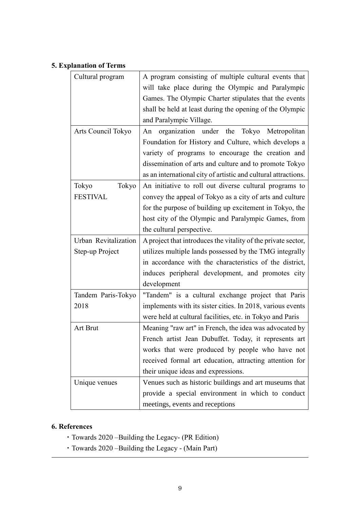# **5. Explanation of Terms**

| Cultural program     | A program consisting of multiple cultural events that          |
|----------------------|----------------------------------------------------------------|
|                      | will take place during the Olympic and Paralympic              |
|                      | Games. The Olympic Charter stipulates that the events          |
|                      | shall be held at least during the opening of the Olympic       |
|                      | and Paralympic Village.                                        |
| Arts Council Tokyo   | organization under the Tokyo Metropolitan<br>An                |
|                      | Foundation for History and Culture, which develops a           |
|                      | variety of programs to encourage the creation and              |
|                      | dissemination of arts and culture and to promote Tokyo         |
|                      | as an international city of artistic and cultural attractions. |
| Tokyo<br>Tokyo       | An initiative to roll out diverse cultural programs to         |
| <b>FESTIVAL</b>      | convey the appeal of Tokyo as a city of arts and culture       |
|                      | for the purpose of building up excitement in Tokyo, the        |
|                      | host city of the Olympic and Paralympic Games, from            |
|                      | the cultural perspective.                                      |
| Urban Revitalization | A project that introduces the vitality of the private sector,  |
| Step-up Project      | utilizes multiple lands possessed by the TMG integrally        |
|                      | in accordance with the characteristics of the district,        |
|                      | induces peripheral development, and promotes city              |
|                      | development                                                    |
| Tandem Paris-Tokyo   | "Tandem" is a cultural exchange project that Paris             |
| 2018                 | implements with its sister cities. In 2018, various events     |
|                      | were held at cultural facilities, etc. in Tokyo and Paris      |
| Art Brut             | Meaning "raw art" in French, the idea was advocated by         |
|                      | French artist Jean Dubuffet. Today, it represents art          |
|                      | works that were produced by people who have not                |
|                      | received formal art education, attracting attention for        |
|                      | their unique ideas and expressions.                            |
| Unique venues        | Venues such as historic buildings and art museums that         |
|                      | provide a special environment in which to conduct              |
|                      | meetings, events and receptions                                |

## **6. References**

- ・Towards 2020 –Building the Legacy- (PR Edition)
- ・Towards 2020 –Building the Legacy (Main Part)